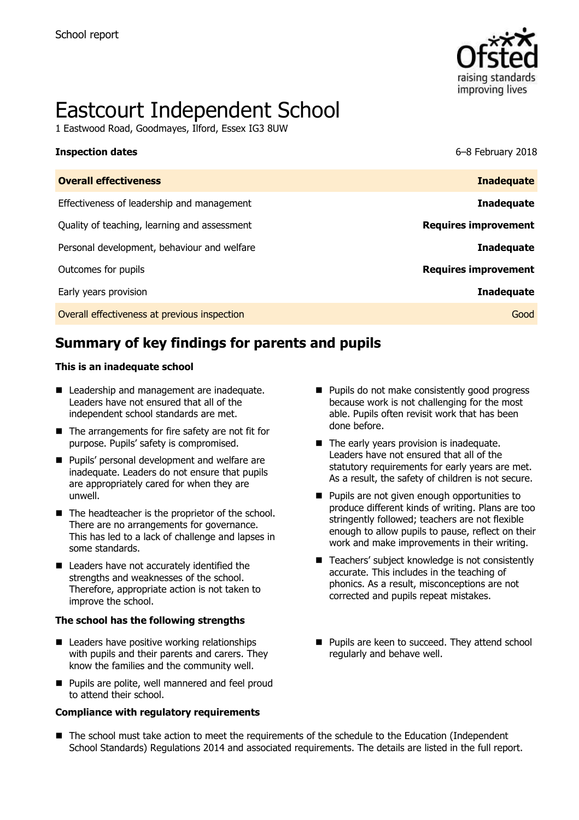

# Eastcourt Independent School

1 Eastwood Road, Goodmayes, Ilford, Essex IG3 8UW

| <b>Inspection dates</b>                      | 6-8 February 2018           |
|----------------------------------------------|-----------------------------|
| <b>Overall effectiveness</b>                 | <b>Inadequate</b>           |
| Effectiveness of leadership and management   | <b>Inadequate</b>           |
| Quality of teaching, learning and assessment | <b>Requires improvement</b> |
| Personal development, behaviour and welfare  | <b>Inadequate</b>           |
| Outcomes for pupils                          | <b>Requires improvement</b> |
| Early years provision                        | <b>Inadequate</b>           |
| Overall effectiveness at previous inspection | Good                        |
|                                              |                             |

# **Summary of key findings for parents and pupils**

#### **This is an inadequate school**

- Leadership and management are inadequate. Leaders have not ensured that all of the independent school standards are met.
- The arrangements for fire safety are not fit for purpose. Pupils' safety is compromised.
- **Pupils' personal development and welfare are** inadequate. Leaders do not ensure that pupils are appropriately cared for when they are unwell.
- The headteacher is the proprietor of the school. There are no arrangements for governance. This has led to a lack of challenge and lapses in some standards.
- Leaders have not accurately identified the strengths and weaknesses of the school. Therefore, appropriate action is not taken to improve the school.

#### **The school has the following strengths**

- Leaders have positive working relationships with pupils and their parents and carers. They know the families and the community well.
- **Pupils are polite, well mannered and feel proud** to attend their school.

#### **Compliance with regulatory requirements**

- **Pupils do not make consistently good progress** because work is not challenging for the most able. Pupils often revisit work that has been done before.
- The early years provision is inadequate. Leaders have not ensured that all of the statutory requirements for early years are met. As a result, the safety of children is not secure.
- **Pupils are not given enough opportunities to** produce different kinds of writing. Plans are too stringently followed; teachers are not flexible enough to allow pupils to pause, reflect on their work and make improvements in their writing.
- Teachers' subject knowledge is not consistently accurate. This includes in the teaching of phonics. As a result, misconceptions are not corrected and pupils repeat mistakes.
- **Pupils are keen to succeed. They attend school** regularly and behave well.
- The school must take action to meet the requirements of the schedule to the Education (Independent School Standards) Regulations 2014 and associated requirements. The details are listed in the full report.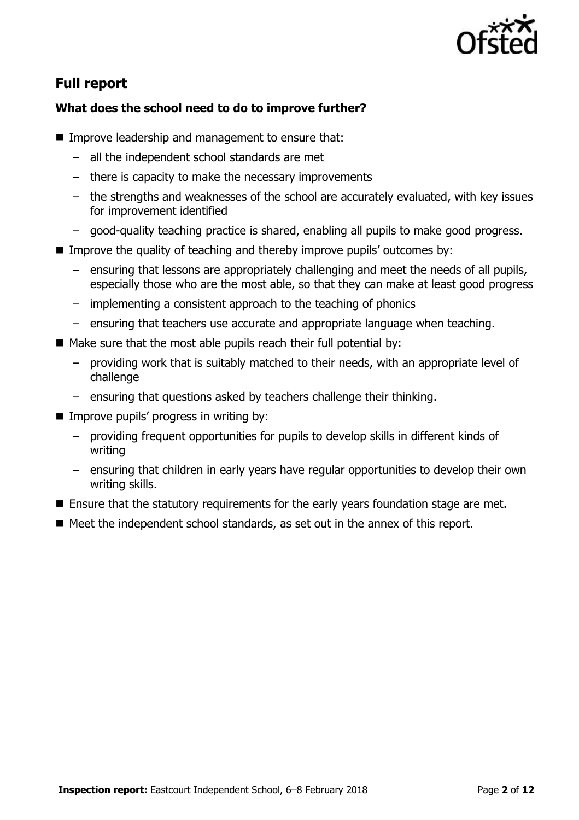

# **Full report**

### **What does the school need to do to improve further?**

- Improve leadership and management to ensure that:
	- all the independent school standards are met
	- there is capacity to make the necessary improvements
	- the strengths and weaknesses of the school are accurately evaluated, with key issues for improvement identified
	- good-quality teaching practice is shared, enabling all pupils to make good progress.
- Improve the quality of teaching and thereby improve pupils' outcomes by:
	- ensuring that lessons are appropriately challenging and meet the needs of all pupils, especially those who are the most able, so that they can make at least good progress
	- implementing a consistent approach to the teaching of phonics
	- ensuring that teachers use accurate and appropriate language when teaching.
- $\blacksquare$  Make sure that the most able pupils reach their full potential by:
	- providing work that is suitably matched to their needs, with an appropriate level of challenge
	- ensuring that questions asked by teachers challenge their thinking.
- **IMPROVE pupils' progress in writing by:** 
	- providing frequent opportunities for pupils to develop skills in different kinds of writing
	- ensuring that children in early years have regular opportunities to develop their own writing skills.
- **E** Ensure that the statutory requirements for the early years foundation stage are met.
- Meet the independent school standards, as set out in the annex of this report.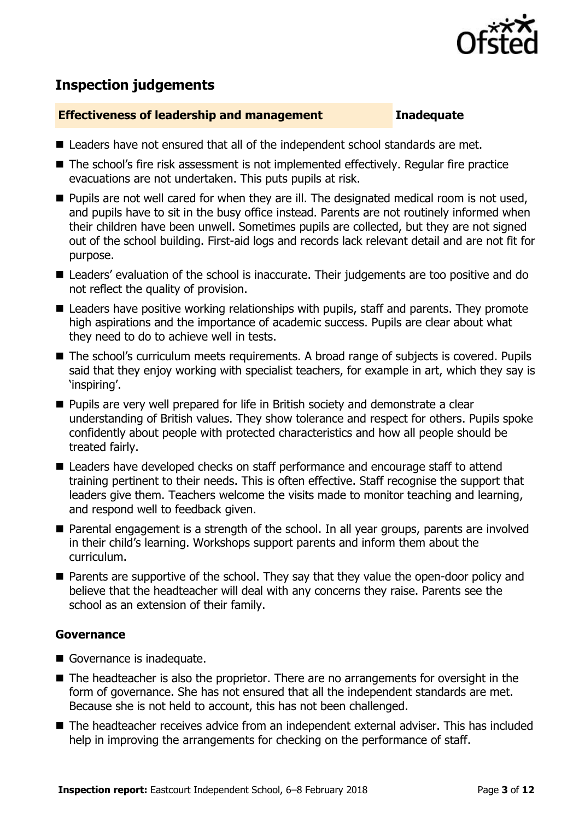

# **Inspection judgements**

#### **Effectiveness of leadership and management Inadequate**

- Leaders have not ensured that all of the independent school standards are met.
- The school's fire risk assessment is not implemented effectively. Regular fire practice evacuations are not undertaken. This puts pupils at risk.
- $\blacksquare$  Pupils are not well cared for when they are ill. The designated medical room is not used, and pupils have to sit in the busy office instead. Parents are not routinely informed when their children have been unwell. Sometimes pupils are collected, but they are not signed out of the school building. First-aid logs and records lack relevant detail and are not fit for purpose.
- Leaders' evaluation of the school is inaccurate. Their judgements are too positive and do not reflect the quality of provision.
- Leaders have positive working relationships with pupils, staff and parents. They promote high aspirations and the importance of academic success. Pupils are clear about what they need to do to achieve well in tests.
- The school's curriculum meets requirements. A broad range of subjects is covered. Pupils said that they enjoy working with specialist teachers, for example in art, which they say is 'inspiring'.
- **Pupils are very well prepared for life in British society and demonstrate a clear** understanding of British values. They show tolerance and respect for others. Pupils spoke confidently about people with protected characteristics and how all people should be treated fairly.
- Leaders have developed checks on staff performance and encourage staff to attend training pertinent to their needs. This is often effective. Staff recognise the support that leaders give them. Teachers welcome the visits made to monitor teaching and learning, and respond well to feedback given.
- Parental engagement is a strength of the school. In all year groups, parents are involved in their child's learning. Workshops support parents and inform them about the curriculum.
- Parents are supportive of the school. They say that they value the open-door policy and believe that the headteacher will deal with any concerns they raise. Parents see the school as an extension of their family.

### **Governance**

- Governance is inadequate.
- The headteacher is also the proprietor. There are no arrangements for oversight in the form of governance. She has not ensured that all the independent standards are met. Because she is not held to account, this has not been challenged.
- The headteacher receives advice from an independent external adviser. This has included help in improving the arrangements for checking on the performance of staff.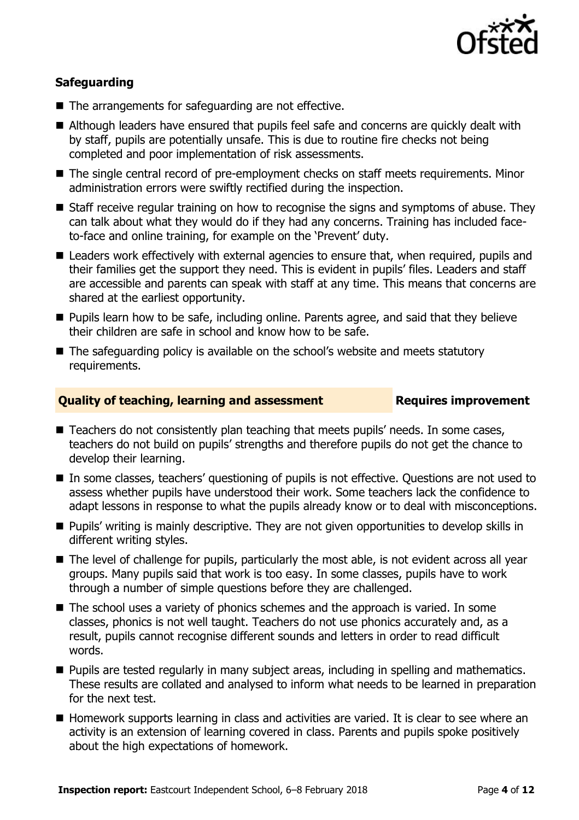

### **Safeguarding**

- The arrangements for safeguarding are not effective.
- Although leaders have ensured that pupils feel safe and concerns are quickly dealt with by staff, pupils are potentially unsafe. This is due to routine fire checks not being completed and poor implementation of risk assessments.
- The single central record of pre-employment checks on staff meets requirements. Minor administration errors were swiftly rectified during the inspection.
- Staff receive regular training on how to recognise the signs and symptoms of abuse. They can talk about what they would do if they had any concerns. Training has included faceto-face and online training, for example on the 'Prevent' duty.
- Leaders work effectively with external agencies to ensure that, when required, pupils and their families get the support they need. This is evident in pupils' files. Leaders and staff are accessible and parents can speak with staff at any time. This means that concerns are shared at the earliest opportunity.
- **Pupils learn how to be safe, including online. Parents agree, and said that they believe** their children are safe in school and know how to be safe.
- The safeguarding policy is available on the school's website and meets statutory requirements.

### **Quality of teaching, learning and assessment Fig. 2.1 Requires improvement**

- Teachers do not consistently plan teaching that meets pupils' needs. In some cases, teachers do not build on pupils' strengths and therefore pupils do not get the chance to develop their learning.
- In some classes, teachers' questioning of pupils is not effective. Questions are not used to assess whether pupils have understood their work. Some teachers lack the confidence to adapt lessons in response to what the pupils already know or to deal with misconceptions.
- **Pupils' writing is mainly descriptive. They are not given opportunities to develop skills in** different writing styles.
- The level of challenge for pupils, particularly the most able, is not evident across all year groups. Many pupils said that work is too easy. In some classes, pupils have to work through a number of simple questions before they are challenged.
- The school uses a variety of phonics schemes and the approach is varied. In some classes, phonics is not well taught. Teachers do not use phonics accurately and, as a result, pupils cannot recognise different sounds and letters in order to read difficult words.
- **Pupils are tested regularly in many subject areas, including in spelling and mathematics.** These results are collated and analysed to inform what needs to be learned in preparation for the next test.
- Homework supports learning in class and activities are varied. It is clear to see where an activity is an extension of learning covered in class. Parents and pupils spoke positively about the high expectations of homework.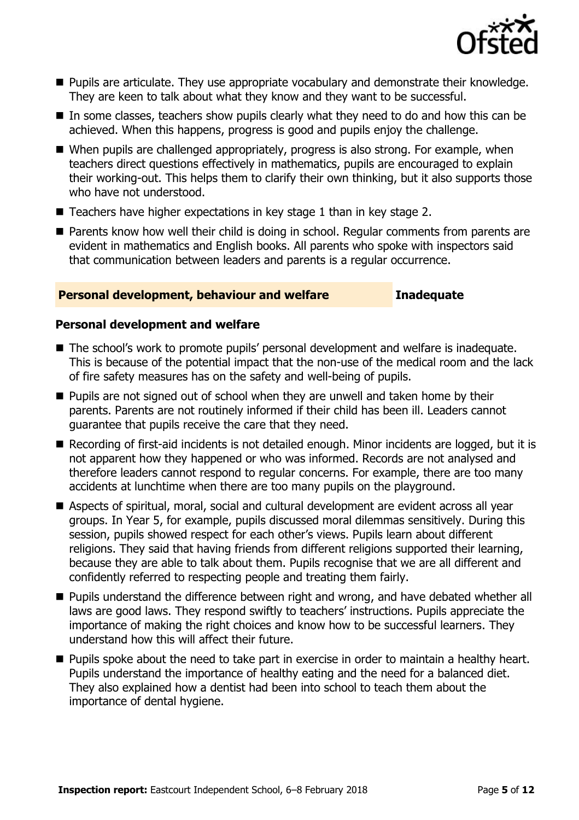

- **Pupils are articulate. They use appropriate vocabulary and demonstrate their knowledge.** They are keen to talk about what they know and they want to be successful.
- $\blacksquare$  In some classes, teachers show pupils clearly what they need to do and how this can be achieved. When this happens, progress is good and pupils enjoy the challenge.
- When pupils are challenged appropriately, progress is also strong. For example, when teachers direct questions effectively in mathematics, pupils are encouraged to explain their working-out. This helps them to clarify their own thinking, but it also supports those who have not understood.
- $\blacksquare$  Teachers have higher expectations in key stage 1 than in key stage 2.
- **Parents know how well their child is doing in school. Regular comments from parents are** evident in mathematics and English books. All parents who spoke with inspectors said that communication between leaders and parents is a regular occurrence.

#### **Personal development, behaviour and welfare <b>Inadequate**

#### **Personal development and welfare**

- The school's work to promote pupils' personal development and welfare is inadequate. This is because of the potential impact that the non-use of the medical room and the lack of fire safety measures has on the safety and well-being of pupils.
- **Pupils are not signed out of school when they are unwell and taken home by their** parents. Parents are not routinely informed if their child has been ill. Leaders cannot guarantee that pupils receive the care that they need.
- Recording of first-aid incidents is not detailed enough. Minor incidents are logged, but it is not apparent how they happened or who was informed. Records are not analysed and therefore leaders cannot respond to regular concerns. For example, there are too many accidents at lunchtime when there are too many pupils on the playground.
- Aspects of spiritual, moral, social and cultural development are evident across all year groups. In Year 5, for example, pupils discussed moral dilemmas sensitively. During this session, pupils showed respect for each other's views. Pupils learn about different religions. They said that having friends from different religions supported their learning, because they are able to talk about them. Pupils recognise that we are all different and confidently referred to respecting people and treating them fairly.
- **Pupils understand the difference between right and wrong, and have debated whether all** laws are good laws. They respond swiftly to teachers' instructions. Pupils appreciate the importance of making the right choices and know how to be successful learners. They understand how this will affect their future.
- **Pupils spoke about the need to take part in exercise in order to maintain a healthy heart.** Pupils understand the importance of healthy eating and the need for a balanced diet. They also explained how a dentist had been into school to teach them about the importance of dental hygiene.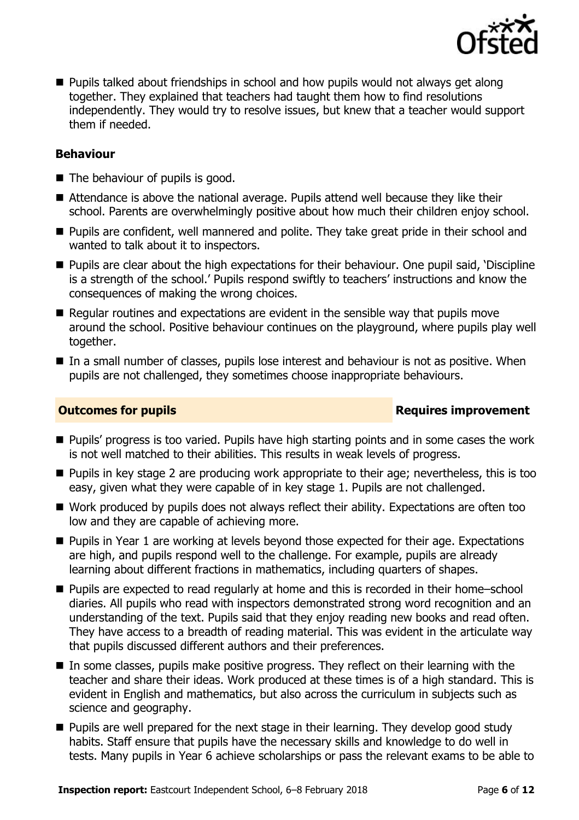

**Pupils talked about friendships in school and how pupils would not always get along** together. They explained that teachers had taught them how to find resolutions independently. They would try to resolve issues, but knew that a teacher would support them if needed.

### **Behaviour**

- The behaviour of pupils is good.
- Attendance is above the national average. Pupils attend well because they like their school. Parents are overwhelmingly positive about how much their children enjoy school.
- **Pupils are confident, well mannered and polite. They take great pride in their school and** wanted to talk about it to inspectors.
- **Pupils are clear about the high expectations for their behaviour. One pupil said, 'Discipline** is a strength of the school.' Pupils respond swiftly to teachers' instructions and know the consequences of making the wrong choices.
- Regular routines and expectations are evident in the sensible way that pupils move around the school. Positive behaviour continues on the playground, where pupils play well together.
- In a small number of classes, pupils lose interest and behaviour is not as positive. When pupils are not challenged, they sometimes choose inappropriate behaviours.

### **Outcomes for pupils Requires improvement**

- **Pupils' progress is too varied. Pupils have high starting points and in some cases the work** is not well matched to their abilities. This results in weak levels of progress.
- **Pupils in key stage 2 are producing work appropriate to their age; nevertheless, this is too** easy, given what they were capable of in key stage 1. Pupils are not challenged.
- Work produced by pupils does not always reflect their ability. Expectations are often too low and they are capable of achieving more.
- **Pupils in Year 1 are working at levels beyond those expected for their age. Expectations** are high, and pupils respond well to the challenge. For example, pupils are already learning about different fractions in mathematics, including quarters of shapes.
- Pupils are expected to read regularly at home and this is recorded in their home–school diaries. All pupils who read with inspectors demonstrated strong word recognition and an understanding of the text. Pupils said that they enjoy reading new books and read often. They have access to a breadth of reading material. This was evident in the articulate way that pupils discussed different authors and their preferences.
- In some classes, pupils make positive progress. They reflect on their learning with the teacher and share their ideas. Work produced at these times is of a high standard. This is evident in English and mathematics, but also across the curriculum in subjects such as science and geography.
- **Pupils are well prepared for the next stage in their learning. They develop good study** habits. Staff ensure that pupils have the necessary skills and knowledge to do well in tests. Many pupils in Year 6 achieve scholarships or pass the relevant exams to be able to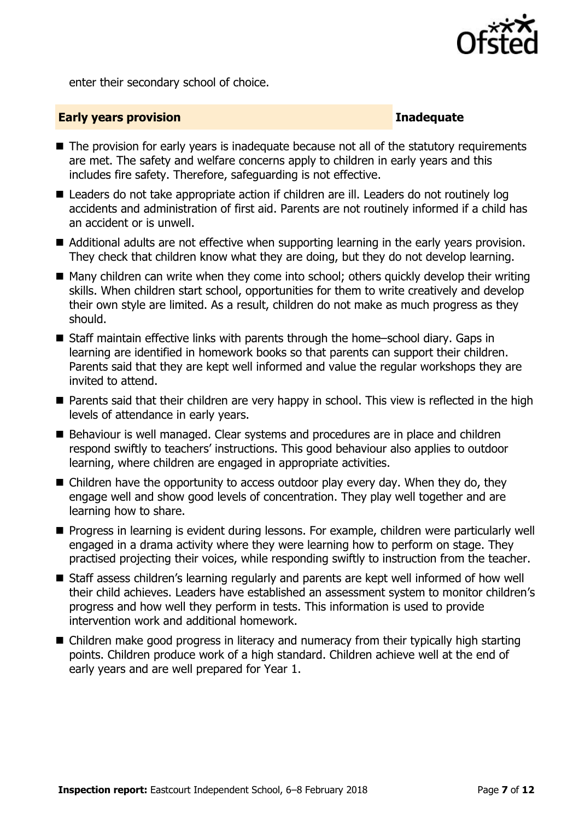

enter their secondary school of choice.

#### **Early years provision Inadequate**

- The provision for early years is inadequate because not all of the statutory requirements are met. The safety and welfare concerns apply to children in early years and this includes fire safety. Therefore, safeguarding is not effective.
- Leaders do not take appropriate action if children are ill. Leaders do not routinely log accidents and administration of first aid. Parents are not routinely informed if a child has an accident or is unwell.
- Additional adults are not effective when supporting learning in the early years provision. They check that children know what they are doing, but they do not develop learning.
- Many children can write when they come into school; others quickly develop their writing skills. When children start school, opportunities for them to write creatively and develop their own style are limited. As a result, children do not make as much progress as they should.
- Staff maintain effective links with parents through the home–school diary. Gaps in learning are identified in homework books so that parents can support their children. Parents said that they are kept well informed and value the regular workshops they are invited to attend.
- **Parents said that their children are very happy in school. This view is reflected in the high** levels of attendance in early years.
- Behaviour is well managed. Clear systems and procedures are in place and children respond swiftly to teachers' instructions. This good behaviour also applies to outdoor learning, where children are engaged in appropriate activities.
- Children have the opportunity to access outdoor play every day. When they do, they engage well and show good levels of concentration. They play well together and are learning how to share.
- **Progress in learning is evident during lessons. For example, children were particularly well** engaged in a drama activity where they were learning how to perform on stage. They practised projecting their voices, while responding swiftly to instruction from the teacher.
- Staff assess children's learning regularly and parents are kept well informed of how well their child achieves. Leaders have established an assessment system to monitor children's progress and how well they perform in tests. This information is used to provide intervention work and additional homework.
- Children make good progress in literacy and numeracy from their typically high starting points. Children produce work of a high standard. Children achieve well at the end of early years and are well prepared for Year 1.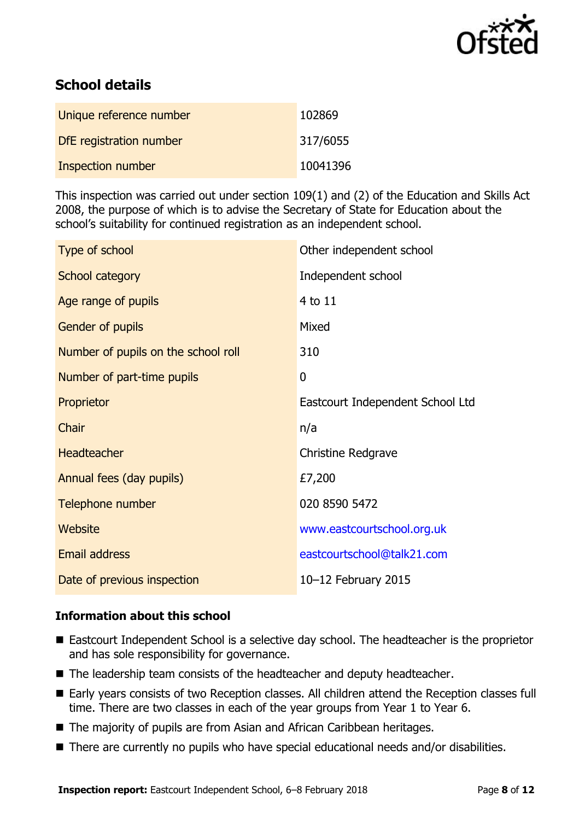

# **School details**

| Unique reference number | 102869   |
|-------------------------|----------|
| DfE registration number | 317/6055 |
| Inspection number       | 10041396 |

This inspection was carried out under section 109(1) and (2) of the Education and Skills Act 2008, the purpose of which is to advise the Secretary of State for Education about the school's suitability for continued registration as an independent school.

| Type of school                      | Other independent school         |
|-------------------------------------|----------------------------------|
| School category                     | Independent school               |
| Age range of pupils                 | 4 to 11                          |
| Gender of pupils                    | Mixed                            |
| Number of pupils on the school roll | 310                              |
| Number of part-time pupils          | $\overline{0}$                   |
| Proprietor                          | Eastcourt Independent School Ltd |
| Chair                               | n/a                              |
| Headteacher                         | Christine Redgrave               |
| Annual fees (day pupils)            | £7,200                           |
| Telephone number                    | 020 8590 5472                    |
| Website                             | www.eastcourtschool.org.uk       |
| Email address                       | eastcourtschool@talk21.com       |
| Date of previous inspection         | 10-12 February 2015              |

### **Information about this school**

- Eastcourt Independent School is a selective day school. The headteacher is the proprietor and has sole responsibility for governance.
- The leadership team consists of the headteacher and deputy headteacher.
- Early years consists of two Reception classes. All children attend the Reception classes full time. There are two classes in each of the year groups from Year 1 to Year 6.
- The majority of pupils are from Asian and African Caribbean heritages.
- There are currently no pupils who have special educational needs and/or disabilities.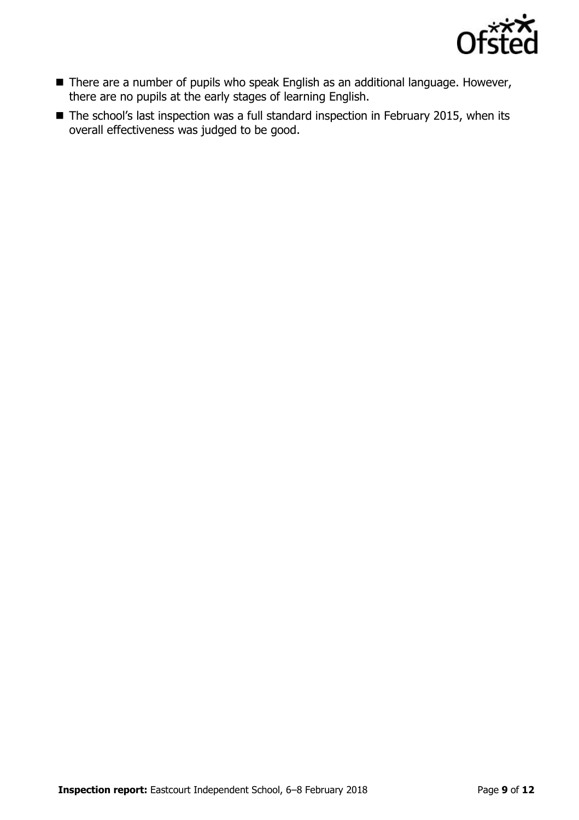

- There are a number of pupils who speak English as an additional language. However, there are no pupils at the early stages of learning English.
- The school's last inspection was a full standard inspection in February 2015, when its overall effectiveness was judged to be good.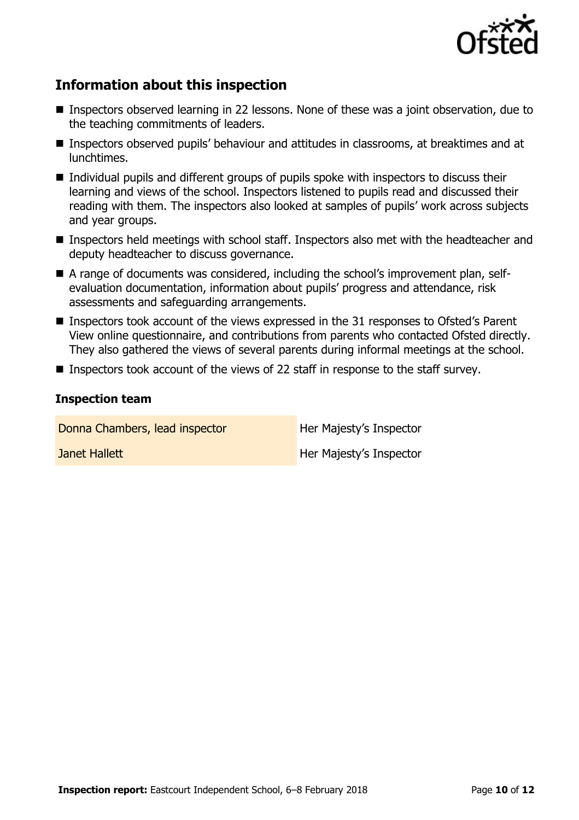

# **Information about this inspection**

- Inspectors observed learning in 22 lessons. None of these was a joint observation, due to the teaching commitments of leaders.
- Inspectors observed pupils' behaviour and attitudes in classrooms, at breaktimes and at lunchtimes.
- Individual pupils and different groups of pupils spoke with inspectors to discuss their learning and views of the school. Inspectors listened to pupils read and discussed their reading with them. The inspectors also looked at samples of pupils' work across subjects and year groups.
- Inspectors held meetings with school staff. Inspectors also met with the headteacher and deputy headteacher to discuss governance.
- A range of documents was considered, including the school's improvement plan, selfevaluation documentation, information about pupils' progress and attendance, risk assessments and safeguarding arrangements.
- Inspectors took account of the views expressed in the 31 responses to Ofsted's Parent View online questionnaire, and contributions from parents who contacted Ofsted directly. They also gathered the views of several parents during informal meetings at the school.
- Inspectors took account of the views of 22 staff in response to the staff survey.

#### **Inspection team**

Donna Chambers, lead inspector **Her Majesty's Inspector** 

**Janet Hallett Her Majesty's Inspector**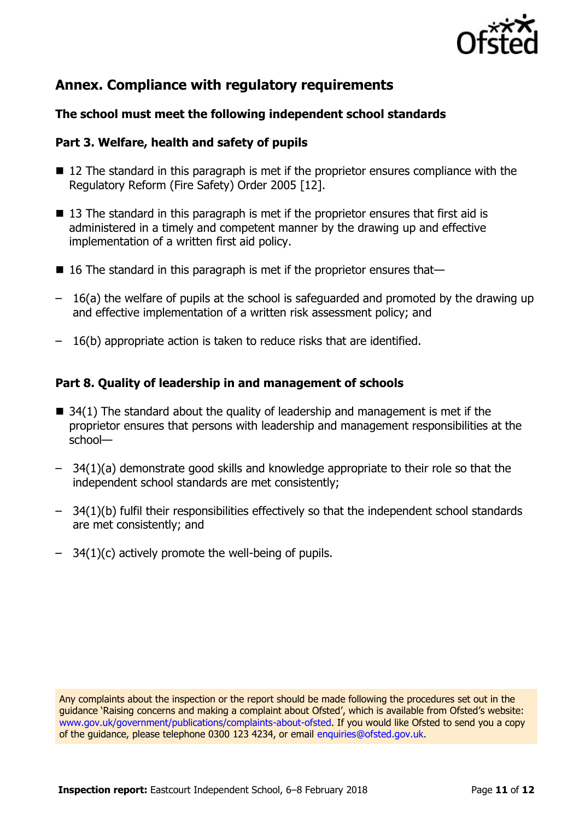

## **Annex. Compliance with regulatory requirements**

### **The school must meet the following independent school standards**

#### **Part 3. Welfare, health and safety of pupils**

- 12 The standard in this paragraph is met if the proprietor ensures compliance with the Regulatory Reform (Fire Safety) Order 2005 [12].
- $\blacksquare$  13 The standard in this paragraph is met if the proprietor ensures that first aid is administered in a timely and competent manner by the drawing up and effective implementation of a written first aid policy.
- $\blacksquare$  16 The standard in this paragraph is met if the proprietor ensures that-
- 16(a) the welfare of pupils at the school is safeguarded and promoted by the drawing up and effective implementation of a written risk assessment policy; and
- 16(b) appropriate action is taken to reduce risks that are identified.

#### **Part 8. Quality of leadership in and management of schools**

- $\blacksquare$  34(1) The standard about the quality of leadership and management is met if the proprietor ensures that persons with leadership and management responsibilities at the school—
- 34(1)(a) demonstrate good skills and knowledge appropriate to their role so that the independent school standards are met consistently;
- 34(1)(b) fulfil their responsibilities effectively so that the independent school standards are met consistently; and
- $-$  34(1)(c) actively promote the well-being of pupils.

Any complaints about the inspection or the report should be made following the procedures set out in the guidance 'Raising concerns and making a complaint about Ofsted', which is available from Ofsted's website: [www.gov.uk/government/publications/complaints-about-ofsted.](http://www.gov.uk/government/publications/complaints-about-ofsted) If you would like Ofsted to send you a copy of the guidance, please telephone 0300 123 4234, or email [enquiries@ofsted.gov.uk.](mailto:enquiries@ofsted.gov.uk)